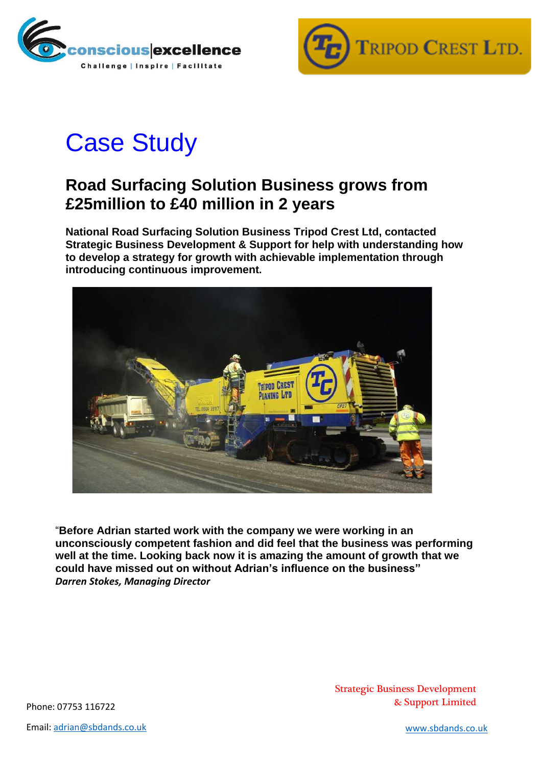



## Case Study

## **Road Surfacing Solution Business grows from £25million to £40 million in 2 years**

**National Road Surfacing Solution Business Tripod Crest Ltd, contacted Strategic Business Development & Support for help with understanding how to develop a strategy for growth with achievable implementation through introducing continuous improvement.** 



"**Before Adrian started work with the company we were working in an unconsciously competent fashion and did feel that the business was performing well at the time. Looking back now it is amazing the amount of growth that we could have missed out on without Adrian's influence on the business"** *Darren Stokes, Managing Director*

Strategic Business Development Phone: 07753 116722 **Example 2018** 2019 2019 2019 2021 2022 2023 2024 2024 2022 2023 2024 2022 2023 2024 2022 2023